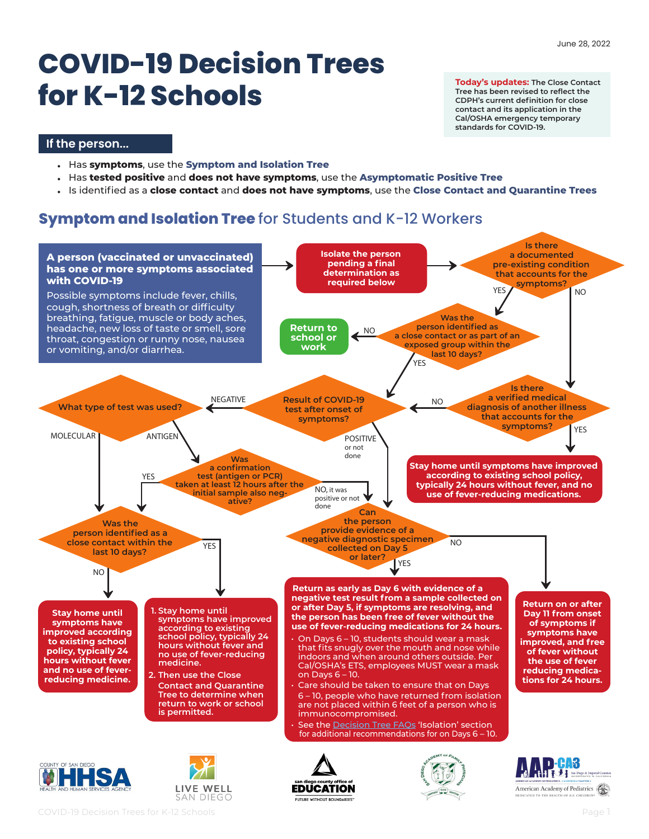# **COVID-19 Decision Trees for K-12 Schools**

**Today's updates: The Close Contact Tree has been revised to reflect the CDPH's current definition for close contact and its application in the Cal/OSHA emergency temporary standards for COVID-19.** 

#### **If the person...**

- Has **symptoms**, use the **Symptom and Isolation Tree**
- Has **tested positive** and **does not have symptoms**, use the **Asymptomatic Positive Tree**
- Is identified as a **close contact** and **does not have symptoms**, use the **Close Contact and Quarantine Trees**

## **Symptom and Isolation Tree** for Students and K-12 Workers

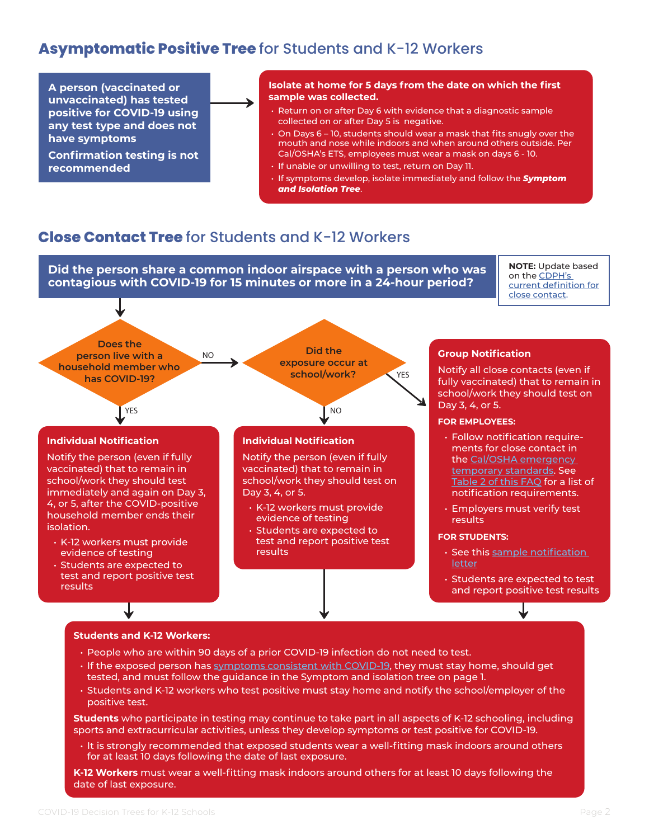## **Asymptomatic Positive Tree** for Students and K-12 Workers

**A person (vaccinated or unvaccinated) has tested positive for COVID-19 using any test type and does not have symptoms**

**Confirmation testing is not recommended**

#### **Isolate at home for 5 days from the date on which the first sample was collected.**

- Return on or after Day 6 with evidence that a diagnostic sample collected on or after Day 5 is negative.
- On Days 6 10, students should wear a mask that fits snugly over the mouth and nose while indoors and when around others outside. Per Cal/OSHA's ETS, employees must wear a mask on days 6 - 10.
- If unable or unwilling to test, return on Day 11.
- If symptoms develop, isolate immediately and follow the *Symptom and Isolation Tree*.

### **Close Contact Tree** for Students and K-12 Workers

**Did the person share a common indoor airspace with a person who was contagious with COVID-19 for 15 minutes or more in a 24-hour period?**

**NOTE:** Update based on the [CDPH's](https://www.cdph.ca.gov/Programs/CID/DCDC/Pages/COVID-19/Order-of-the-State-Public-Health-Officer-Beyond-Blueprint.aspx)  [current definition for](https://www.cdph.ca.gov/Programs/CID/DCDC/Pages/COVID-19/Order-of-the-State-Public-Health-Officer-Beyond-Blueprint.aspx)  [close contact](https://www.cdph.ca.gov/Programs/CID/DCDC/Pages/COVID-19/Order-of-the-State-Public-Health-Officer-Beyond-Blueprint.aspx).



**K-12 Workers** must wear a well-fitting mask indoors around others for at least 10 days following the date of last exposure.